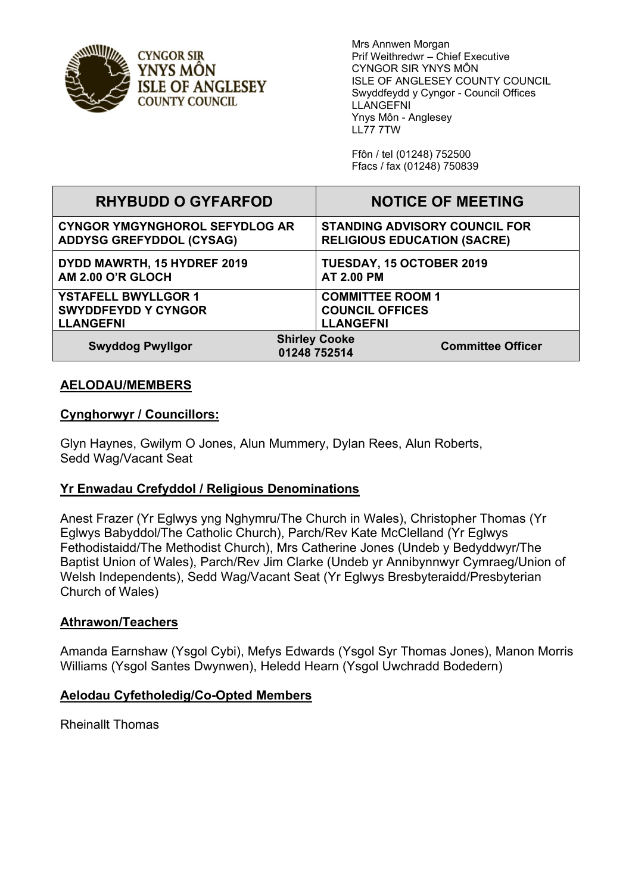

Mrs Annwen Morgan Prif Weithredwr – Chief Executive CYNGOR SIR YNYS MÔN ISLE OF ANGLESEY COUNTY COUNCIL Swyddfeydd y Cyngor - Council Offices LLANGEFNI Ynys Môn - Anglesey LL77 7TW

> Ffôn / tel (01248) 752500 Ffacs / fax (01248) 750839

| <b>RHYBUDD O GYFARFOD</b>             | <b>NOTICE OF MEETING</b>                                         |
|---------------------------------------|------------------------------------------------------------------|
| <b>CYNGOR YMGYNGHOROL SEFYDLOG AR</b> | <b>STANDING ADVISORY COUNCIL FOR</b>                             |
| <b>ADDYSG GREFYDDOL (CYSAG)</b>       | <b>RELIGIOUS EDUCATION (SACRE)</b>                               |
| DYDD MAWRTH, 15 HYDREF 2019           | TUESDAY, 15 OCTOBER 2019                                         |
| AM 2.00 O'R GLOCH                     | <b>AT 2.00 PM</b>                                                |
| <b>YSTAFELL BWYLLGOR 1</b>            | <b>COMMITTEE ROOM 1</b>                                          |
| <b>SWYDDFEYDD Y CYNGOR</b>            | <b>COUNCIL OFFICES</b>                                           |
| <b>LLANGEFNI</b>                      | <b>LLANGEFNI</b>                                                 |
| <b>Swyddog Pwyllgor</b>               | <b>Shirley Cooke</b><br><b>Committee Officer</b><br>01248 752514 |

### **AELODAU/MEMBERS**

### **Cynghorwyr / Councillors:**

Glyn Haynes, Gwilym O Jones, Alun Mummery, Dylan Rees, Alun Roberts, Sedd Wag/Vacant Seat

### **Yr Enwadau Crefyddol / Religious Denominations**

Anest Frazer (Yr Eglwys yng Nghymru/The Church in Wales), Christopher Thomas (Yr Eglwys Babyddol/The Catholic Church), Parch/Rev Kate McClelland (Yr Eglwys Fethodistaidd/The Methodist Church), Mrs Catherine Jones (Undeb y Bedyddwyr/The Baptist Union of Wales), Parch/Rev Jim Clarke (Undeb yr Annibynnwyr Cymraeg/Union of Welsh Independents), Sedd Wag/Vacant Seat (Yr Eglwys Bresbyteraidd/Presbyterian Church of Wales)

#### **Athrawon/Teachers**

Amanda Earnshaw (Ysgol Cybi), Mefys Edwards (Ysgol Syr Thomas Jones), Manon Morris Williams (Ysgol Santes Dwynwen), Heledd Hearn (Ysgol Uwchradd Bodedern)

#### **Aelodau Cyfetholedig/Co-Opted Members**

Rheinallt Thomas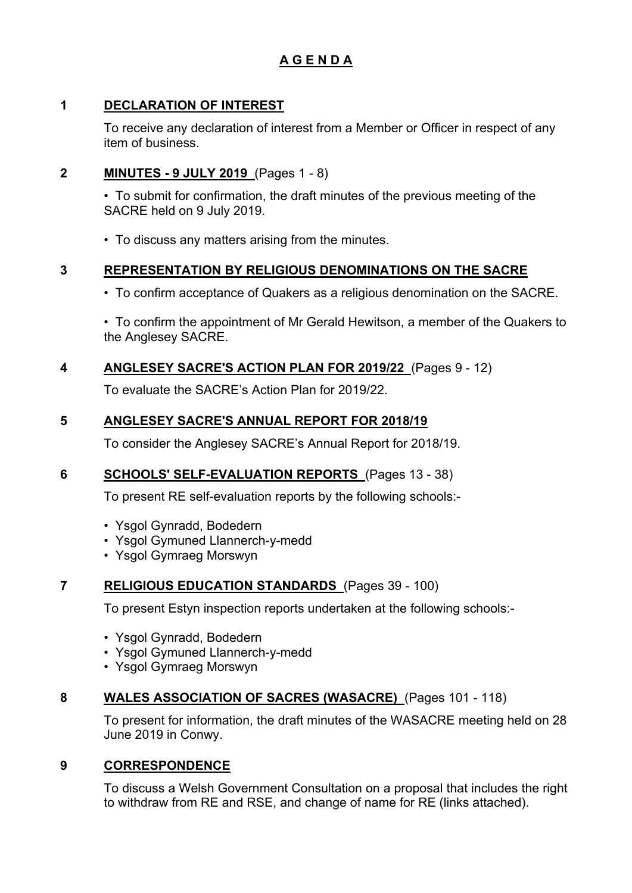# **A G E N D A**

## **1 DECLARATION OF INTEREST**

To receive any declaration of interest from a Member or Officer in respect of any item of business.

## **2 MINUTES - 9 JULY 2019** (Pages 1 - 8)

• To submit for confirmation, the draft minutes of the previous meeting of the SACRE held on 9 July 2019.

• To discuss any matters arising from the minutes.

## **3 REPRESENTATION BY RELIGIOUS DENOMINATIONS ON THE SACRE**

• To confirm acceptance of Quakers as a religious denomination on the SACRE.

• To confirm the appointment of Mr Gerald Hewitson, a member of the Quakers to the Anglesey SACRE.

## **4 ANGLESEY SACRE'S ACTION PLAN FOR 2019/22** (Pages 9 - 12)

To evaluate the SACRE's Action Plan for 2019/22.

## **5 ANGLESEY SACRE'S ANNUAL REPORT FOR 2018/19**

To consider the Anglesey SACRE's Annual Report for 2018/19.

## **6 SCHOOLS' SELF-EVALUATION REPORTS** (Pages 13 - 38)

To present RE self-evaluation reports by the following schools:-

- Ysgol Gynradd, Bodedern
- Ysgol Gymuned Llannerch-y-medd
- Ysgol Gymraeg Morswyn

### **7 RELIGIOUS EDUCATION STANDARDS** (Pages 39 - 100)

To present Estyn inspection reports undertaken at the following schools:-

- Ysgol Gynradd, Bodedern
- Ysgol Gymuned Llannerch-y-medd
- Ysgol Gymraeg Morswyn

### **8 WALES ASSOCIATION OF SACRES (WASACRE)** (Pages 101 - 118)

To present for information, the draft minutes of the WASACRE meeting held on 28 June 2019 in Conwy.

### **9 CORRESPONDENCE**

To discuss a Welsh Government Consultation on a proposal that includes the right to withdraw from RE and RSE, and change of name for RE (links attached).